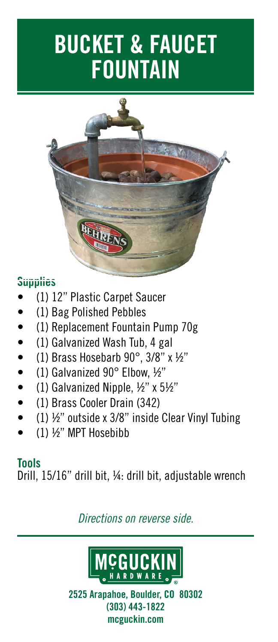# **BUCKET & FAUCET FOUNTAIN**



#### **Supplies**

- (1) 12" Plastic Carpet Saucer
- (1) Bag Polished Pebbles
- (1) Replacement Fountain Pump 70g
- (1) Galvanized Wash Tub, 4 gal
- (1) Brass Hosebarb 90°, 3/8" x ½"
- (1) Galvanized  $90^\circ$  Elbow,  $\frac{1}{2}$ "
- (1) Galvanized Nipple,  $\frac{1}{2}$ " x 5 $\frac{1}{2}$ "
- (1) Brass Cooler Drain (342)
- (1)  $\frac{1}{2}$  outside x 3/8" inside Clear Vinyl Tubing
- (1) ½" MPT Hosebibb

#### **Tools**

Drill, 15/16" drill bit, ¼: drill bit, adjustable wrench

## *Directions on reverse side.*



**2525 Arapahoe, Boulder, CO 80302 (303) 443-1822 mcguckin.com**